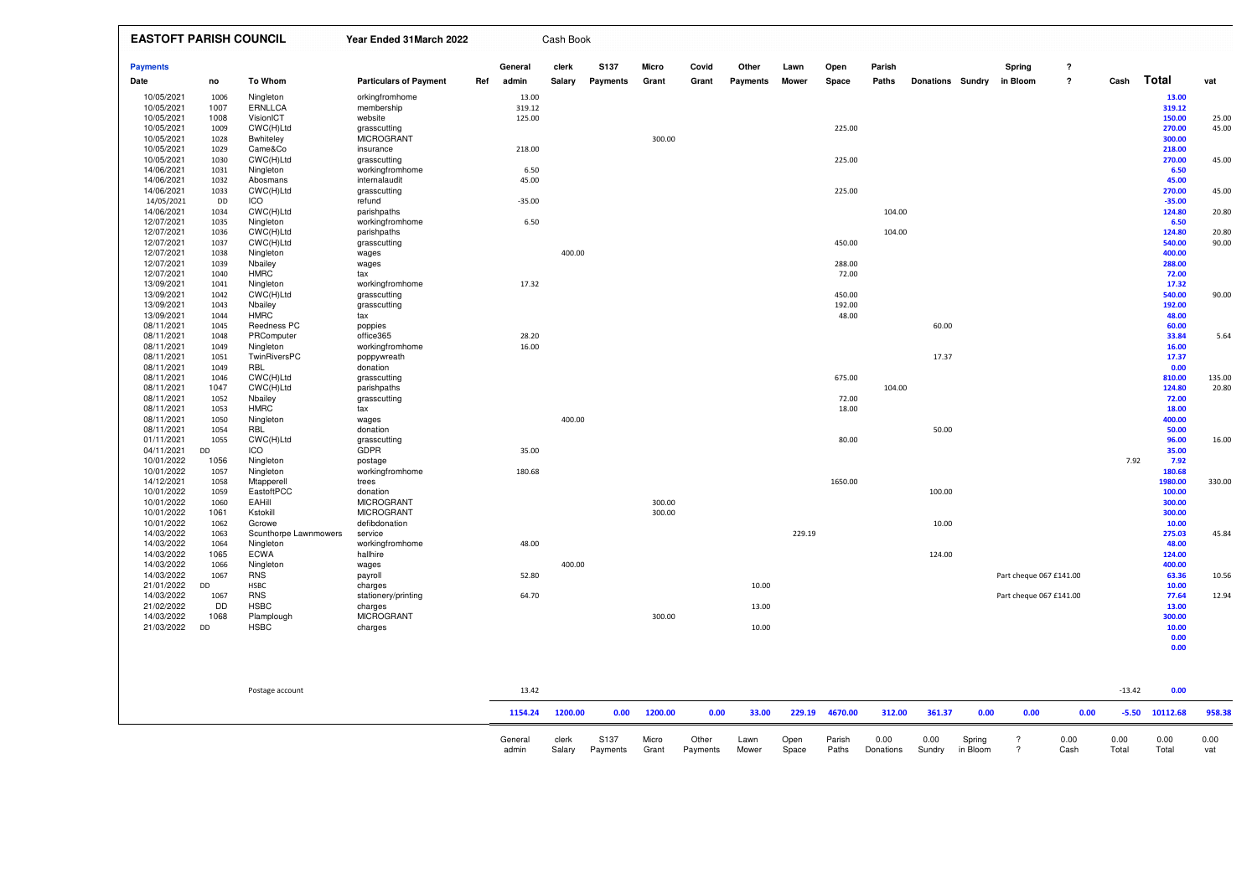| <b>EASTOFT PARISH COUNCIL</b> |              |                         | Year Ended 31 March 2022         |     |               | Cash Book       |          |              |       |          |              |                 |        |                         |      |          |                         |                            |          |                  |        |
|-------------------------------|--------------|-------------------------|----------------------------------|-----|---------------|-----------------|----------|--------------|-------|----------|--------------|-----------------|--------|-------------------------|------|----------|-------------------------|----------------------------|----------|------------------|--------|
| <b>Payments</b>               |              |                         |                                  |     | General       | clerk           | S137     | Micro        | Covid | Other    | Lawn         | Open            | Parish |                         |      | Spring   |                         | $\boldsymbol{\mathcal{P}}$ |          |                  |        |
| Date                          | no           | <b>To Whom</b>          | <b>Particulars of Payment</b>    | Ref | admin         | Salary          | Payments | Grant        | Grant | Payments | <b>Mower</b> | Space           | Paths  | <b>Donations Sundry</b> |      | in Bloom |                         | $\overline{\mathbf{r}}$    | Cash     | Total            | vat    |
| 10/05/2021                    | 1006         | Ningleton               | orkingfromhome                   |     | 13.00         |                 |          |              |       |          |              |                 |        |                         |      |          |                         |                            |          | 13.00            |        |
| 10/05/2021                    | 1007         | <b>ERNLLCA</b>          | membership                       |     | 319.12        |                 |          |              |       |          |              |                 |        |                         |      |          |                         |                            |          | 319.12           |        |
| 10/05/2021                    | 1008         | VisionICT               | website                          |     | 125.00        |                 |          |              |       |          |              |                 |        |                         |      |          |                         |                            |          | 150.00           | 25.00  |
| 10/05/2021                    | 1009         | CWC(H)Ltd               | grasscutting                     |     |               |                 |          |              |       |          |              | 225.00          |        |                         |      |          |                         |                            |          | 270.00           | 45.00  |
| 10/05/2021                    | 1028         | <b>Bwhiteley</b>        | <b>MICROGRANT</b>                |     |               |                 |          | 300.00       |       |          |              |                 |        |                         |      |          |                         |                            |          | 300.00           |        |
| 10/05/2021                    | 1029         | Came&Co                 | insurance                        |     | 218.00        |                 |          |              |       |          |              |                 |        |                         |      |          |                         |                            |          | 218.00           |        |
| 10/05/2021                    | 1030         | CWC(H)Ltd               | grasscutting                     |     |               |                 |          |              |       |          |              | 225.00          |        |                         |      |          |                         |                            |          | 270.00           | 45.00  |
| 14/06/2021<br>14/06/2021      | 1031<br>1032 | Ningleton<br>Abosmans   | workingfromhome<br>internalaudit |     | 6.50<br>45.00 |                 |          |              |       |          |              |                 |        |                         |      |          |                         |                            |          | 6.50<br>45.00    |        |
| 14/06/2021                    | 1033         | CWC(H)Ltd               | grasscutting                     |     |               |                 |          |              |       |          |              | 225.00          |        |                         |      |          |                         |                            |          | 270.00           | 45.00  |
| 14/05/2021                    | DD           | <b>ICO</b>              | refund                           |     | $-35.00$      |                 |          |              |       |          |              |                 |        |                         |      |          |                         |                            |          | $-35.00$         |        |
| 14/06/2021                    | 1034         | CWC(H)Ltd               | parishpaths                      |     |               |                 |          |              |       |          |              |                 | 104.00 |                         |      |          |                         |                            |          | 124.80           | 20.80  |
| 12/07/2021                    | 1035         | Ningleton               | workingfromhome                  |     | 6.50          |                 |          |              |       |          |              |                 |        |                         |      |          |                         |                            |          | 6.50             |        |
| 12/07/2021                    | 1036         | CWC(H)Ltd               | parishpaths                      |     |               |                 |          |              |       |          |              |                 | 104.00 |                         |      |          |                         |                            |          | 124.80           | 20.80  |
| 12/07/2021                    | 1037         | CWC(H)Ltd               | grasscutting                     |     |               |                 |          |              |       |          |              | 450.00          |        |                         |      |          |                         |                            |          | 540.00           | 90.00  |
| 12/07/2021                    | 1038         | Ningleton               | wages                            |     |               | 400.00          |          |              |       |          |              |                 |        |                         |      |          |                         |                            |          | 400.00           |        |
| 12/07/2021                    | 1039         | Nbailey                 | wages                            |     |               |                 |          |              |       |          |              | 288.00          |        |                         |      |          |                         |                            |          | 288.00           |        |
| 12/07/2021                    | 1040         | <b>HMRC</b>             | tax                              |     |               |                 |          |              |       |          |              | 72.00           |        |                         |      |          |                         |                            |          | 72.00            |        |
| 13/09/2021                    | 1041         | Ningleton               | workingfromhome                  |     | 17.32         |                 |          |              |       |          |              |                 |        |                         |      |          |                         |                            |          | 17.32            |        |
| 13/09/2021                    | 1042         | CWC(H)Ltd               | grasscutting                     |     |               |                 |          |              |       |          |              | 450.00          |        |                         |      |          |                         |                            |          | 540.00           | 90.00  |
| 13/09/2021<br>13/09/2021      | 1043<br>1044 | Nbailey<br><b>HMRC</b>  | grasscutting<br>tax              |     |               |                 |          |              |       |          |              | 192.00<br>48.00 |        |                         |      |          |                         |                            |          | 192.00<br>48.00  |        |
| 08/11/2021                    | 1045         | Reedness PC             | poppies                          |     |               |                 |          |              |       |          |              |                 |        | 60.00                   |      |          |                         |                            |          | 60.00            |        |
| 08/11/2021                    | 1048         | PRComputer              | office365                        |     | 28.20         |                 |          |              |       |          |              |                 |        |                         |      |          |                         |                            |          | 33.84            | 5.64   |
| 08/11/2021                    | 1049         | Ningleton               | workingfromhome                  |     | 16.00         |                 |          |              |       |          |              |                 |        |                         |      |          |                         |                            |          | 16.00            |        |
| 08/11/2021                    | 1051         | TwinRiversPC            | poppywreath                      |     |               |                 |          |              |       |          |              |                 |        | 17.37                   |      |          |                         |                            |          | 17.37            |        |
| 08/11/2021                    | 1049         | RBL                     | donation                         |     |               |                 |          |              |       |          |              |                 |        |                         |      |          |                         |                            |          | 0.00             |        |
| 08/11/2021                    | 1046         | CWC(H)Ltd               | grasscutting                     |     |               |                 |          |              |       |          |              | 675.00          |        |                         |      |          |                         |                            |          | 810.00           | 135.00 |
| 08/11/2021                    | 1047         | CWC(H)Ltd               | parishpaths                      |     |               |                 |          |              |       |          |              |                 | 104.00 |                         |      |          |                         |                            |          | 124.80           | 20.80  |
| 08/11/2021                    | 1052         | Nbailey                 | grasscutting                     |     |               |                 |          |              |       |          |              | 72.00           |        |                         |      |          |                         |                            |          | 72.00            |        |
| 08/11/2021                    | 1053         | <b>HMRC</b>             | tax                              |     |               |                 |          |              |       |          |              | 18.00           |        |                         |      |          |                         |                            |          | 18.00            |        |
| 08/11/2021                    | 1050         | Ningleton               | wages                            |     |               | 400.00          |          |              |       |          |              |                 |        |                         |      |          |                         |                            |          | 400.00           |        |
| 08/11/2021<br>01/11/2021      | 1054<br>1055 | RBL<br>CWC(H)Ltd        | donation                         |     |               |                 |          |              |       |          |              | 80.00           |        | 50.00                   |      |          |                         |                            |          | 50.00<br>96.00   | 16.00  |
| 04/11/2021                    | DD           | ICO                     | grasscutting<br>GDPR             |     | 35.00         |                 |          |              |       |          |              |                 |        |                         |      |          |                         |                            |          | 35.00            |        |
| 10/01/2022                    | 1056         | Ningleton               | postage                          |     |               |                 |          |              |       |          |              |                 |        |                         |      |          |                         |                            | 7.92     | 7.92             |        |
| 10/01/2022                    | 1057         | Ningleton               | workingfromhome                  |     | 180.68        |                 |          |              |       |          |              |                 |        |                         |      |          |                         |                            |          | 180.68           |        |
| 14/12/2021                    | 1058         | Mtapperell              | trees                            |     |               |                 |          |              |       |          |              | 1650.00         |        |                         |      |          |                         |                            |          | 1980.00          | 330.00 |
| 10/01/2022                    | 1059         | EastoftPCC              | donation                         |     |               |                 |          |              |       |          |              |                 |        | 100.00                  |      |          |                         |                            |          | 100.00           |        |
| 10/01/2022                    | 1060         | EAHill                  | <b>MICROGRANT</b>                |     |               |                 |          | 300.00       |       |          |              |                 |        |                         |      |          |                         |                            |          | 300.00           |        |
| 10/01/2022                    | 1061         | Kstokill                | <b>MICROGRANT</b>                |     |               |                 |          | 300.00       |       |          |              |                 |        |                         |      |          |                         |                            |          | 300.00           |        |
| 10/01/2022                    | 1062         | Gcrowe                  | defibdonation                    |     |               |                 |          |              |       |          |              |                 |        | 10.00                   |      |          |                         |                            |          | 10.00            |        |
| 14/03/2022                    | 1063         | Scunthorpe Lawnmowers   | service                          |     |               |                 |          |              |       |          | 229.19       |                 |        |                         |      |          |                         |                            |          | 275.03           | 45.84  |
| 14/03/2022                    | 1064         | Ningleton               | workingfromhome                  |     | 48.00         |                 |          |              |       |          |              |                 |        |                         |      |          |                         |                            |          | 48.00            |        |
| 14/03/2022                    | 1065         | <b>ECWA</b>             | hallhire                         |     |               |                 |          |              |       |          |              |                 |        | 124.00                  |      |          |                         |                            |          | 124.00           |        |
| 14/03/2022<br>14/03/2022      | 1066<br>1067 | Ningleton<br><b>RNS</b> | wages<br>payroll                 |     | 52.80         | 400.00          |          |              |       |          |              |                 |        |                         |      |          | Part cheque 067 £141.00 |                            |          | 400.00<br>63.36  | 10.56  |
| 21/01/2022                    | DD           | <b>HSBC</b>             | charges                          |     |               |                 |          |              |       | 10.00    |              |                 |        |                         |      |          |                         |                            |          | 10.00            |        |
| 14/03/2022                    | 1067         | <b>RNS</b>              | stationery/printing              |     | 64.70         |                 |          |              |       |          |              |                 |        |                         |      |          | Part cheque 067 £141.00 |                            |          | 77.64            | 12.94  |
| 21/02/2022                    | <b>DD</b>    | <b>HSBC</b>             | charges                          |     |               |                 |          |              |       | 13.00    |              |                 |        |                         |      |          |                         |                            |          | 13.00            |        |
| 14/03/2022                    | 1068         | Plamplough              | <b>MICROGRANT</b>                |     |               |                 |          | 300.00       |       |          |              |                 |        |                         |      |          |                         |                            |          | 300.00           |        |
| 21/03/2022                    | DD           | <b>HSBC</b>             | charges                          |     |               |                 |          |              |       | 10.00    |              |                 |        |                         |      |          |                         |                            |          | 10.00            |        |
|                               |              |                         |                                  |     |               |                 |          |              |       |          |              |                 |        |                         |      |          |                         |                            |          | 0.00             |        |
|                               |              |                         |                                  |     |               |                 |          |              |       |          |              |                 |        |                         |      |          |                         |                            |          | 0.00             |        |
|                               |              |                         |                                  |     |               |                 |          |              |       |          |              |                 |        |                         |      |          |                         |                            |          |                  |        |
|                               |              |                         |                                  |     |               |                 |          |              |       |          |              |                 |        |                         |      |          |                         |                            |          |                  |        |
|                               |              |                         |                                  |     |               |                 |          |              |       |          |              |                 |        |                         |      |          |                         |                            |          |                  |        |
|                               |              | Postage account         |                                  |     | 13.42         |                 |          |              |       |          |              |                 |        |                         |      |          |                         |                            | $-13.42$ | 0.00             |        |
|                               |              |                         |                                  |     |               | 1154.24 1200.00 |          | 0.00 1200.00 | 0.00  | 33.00    |              | 229.19 4670.00  | 312.00 | 361.37                  | 0.00 |          | 0.00                    | 0.00                       |          | $-5.50$ 10112.68 | 958.38 |
|                               |              |                         |                                  |     |               |                 |          |              |       |          |              |                 |        |                         |      |          |                         |                            |          |                  |        |
|                               |              |                         |                                  |     |               |                 |          |              |       |          |              |                 |        |                         |      |          |                         |                            |          |                  |        |

General clerk S137 Micro Other Lawn Open Parish 0.00 0.00 Spring ? 0.00 0.00 0.00 0.00<br>admin Salary Payments Grant Payments Mower Space Paths Donations Sundry in Bloom ? Cash Total Total vat

vat